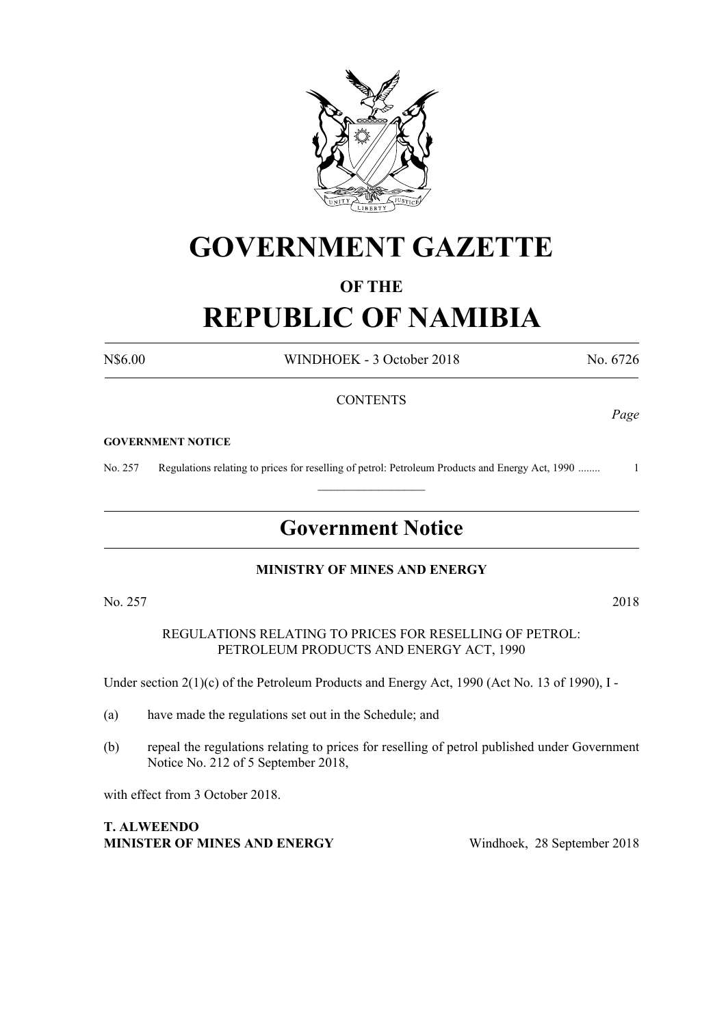

## **GOVERNMENT GAZETTE**

### **OF THE**

# **REPUBLIC OF NAMIBIA**

N\$6.00 WINDHOEK - 3 October 2018 No. 6726

#### **CONTENTS**

#### **GOVERNMENT NOTICE**

No. 257 Regulations relating to prices for reselling of petrol: Petroleum Products and Energy Act, 1990 ........ 1

### **Government Notice**

 $\frac{1}{2}$ 

#### **MINISTRY OF MINES AND ENERGY**

No. 257 2018

REGULATIONS RELATING TO PRICES FOR RESELLING OF PETROL: PETROLEUM PRODUCTS AND ENERGY ACT, 1990

Under section 2(1)(c) of the Petroleum Products and Energy Act, 1990 (Act No. 13 of 1990), I -

- (a) have made the regulations set out in the Schedule; and
- (b) repeal the regulations relating to prices for reselling of petrol published under Government Notice No. 212 of 5 September 2018,

with effect from 3 October 2018.

**T. Alweendo Minister of Mines and Energy** Windhoek, 28 September 2018

*Page*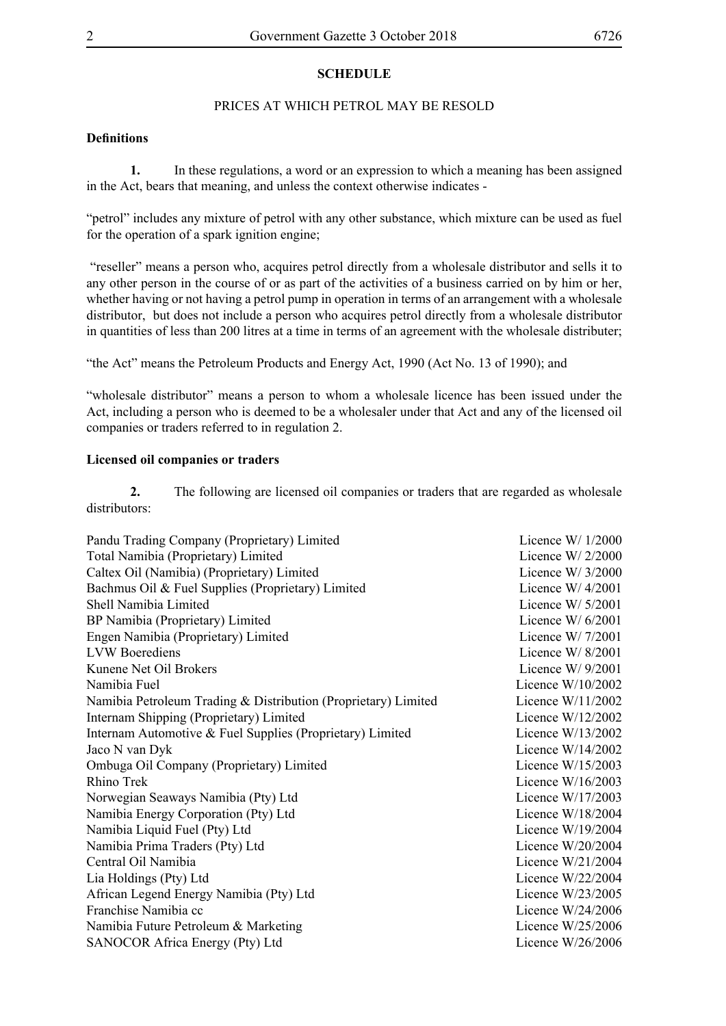#### **SCHEDULE**

#### PRICES AT WHICH PETROL MAY BE RESOLD

#### **Definitions**

**1.** In these regulations, a word or an expression to which a meaning has been assigned in the Act, bears that meaning, and unless the context otherwise indicates -

"petrol" includes any mixture of petrol with any other substance, which mixture can be used as fuel for the operation of a spark ignition engine;

 "reseller" means a person who, acquires petrol directly from a wholesale distributor and sells it to any other person in the course of or as part of the activities of a business carried on by him or her, whether having or not having a petrol pump in operation in terms of an arrangement with a wholesale distributor, but does not include a person who acquires petrol directly from a wholesale distributor in quantities of less than 200 litres at a time in terms of an agreement with the wholesale distributer;

"the Act" means the Petroleum Products and Energy Act, 1990 (Act No. 13 of 1990); and

"wholesale distributor" means a person to whom a wholesale licence has been issued under the Act, including a person who is deemed to be a wholesaler under that Act and any of the licensed oil companies or traders referred to in regulation 2.

#### **Licensed oil companies or traders**

**2.** The following are licensed oil companies or traders that are regarded as wholesale distributors:

| Pandu Trading Company (Proprietary) Limited                    | Licence $W/1/2000$  |
|----------------------------------------------------------------|---------------------|
| Total Namibia (Proprietary) Limited                            | Licence W/ $2/2000$ |
| Caltex Oil (Namibia) (Proprietary) Limited                     | Licence W/ $3/2000$ |
| Bachmus Oil & Fuel Supplies (Proprietary) Limited              | Licence $W/4/2001$  |
| Shell Namibia Limited                                          | Licence W/ $5/2001$ |
| BP Namibia (Proprietary) Limited                               | Licence W/ $6/2001$ |
| Engen Namibia (Proprietary) Limited                            | Licence W/ $7/2001$ |
| <b>LVW</b> Boerediens                                          | Licence $W/8/2001$  |
| Kunene Net Oil Brokers                                         | Licence W/ $9/2001$ |
| Namibia Fuel                                                   | Licence $W/10/2002$ |
| Namibia Petroleum Trading & Distribution (Proprietary) Limited | Licence $W/11/2002$ |
| Internam Shipping (Proprietary) Limited                        | Licence $W/12/2002$ |
| Internam Automotive & Fuel Supplies (Proprietary) Limited      | Licence W/13/2002   |
| Jaco N van Dyk                                                 | Licence $W/14/2002$ |
| Ombuga Oil Company (Proprietary) Limited                       | Licence $W/15/2003$ |
| <b>Rhino Trek</b>                                              | Licence $W/16/2003$ |
| Norwegian Seaways Namibia (Pty) Ltd                            | Licence $W/17/2003$ |
| Namibia Energy Corporation (Pty) Ltd                           | Licence $W/18/2004$ |
| Namibia Liquid Fuel (Pty) Ltd                                  | Licence $W/19/2004$ |
| Namibia Prima Traders (Pty) Ltd                                | Licence $W/20/2004$ |
| Central Oil Namibia                                            | Licence $W/21/2004$ |
| Lia Holdings (Pty) Ltd                                         | Licence $W/22/2004$ |
| African Legend Energy Namibia (Pty) Ltd                        | Licence $W/23/2005$ |
| Franchise Namibia cc                                           | Licence $W/24/2006$ |
| Namibia Future Petroleum & Marketing                           | Licence $W/25/2006$ |
| SANOCOR Africa Energy (Pty) Ltd                                | Licence W/26/2006   |
|                                                                |                     |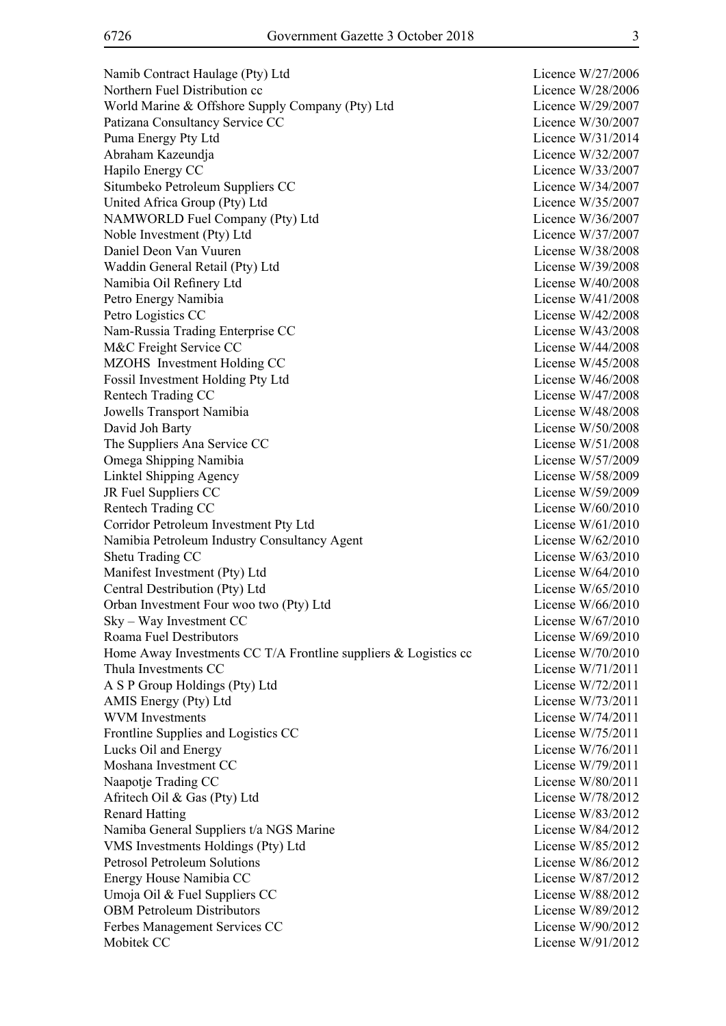Namib Contract Haulage (Pty) Ltd Licence W/27/2006 Northern Fuel Distribution cc <br>
Licence W/28/2006 World Marine & Offshore Supply Company (Pty) Ltd Licence W/29/2007 Patizana Consultancy Service CC and the United Service CC and Licence W/30/2007 Puma Energy Pty Ltd Licence W/31/2014 Abraham Kazeundja Licence W/32/2007 Hapilo Energy CC Licence W/33/2007 Situmbeko Petroleum Suppliers CC Licence W/34/2007 United Africa Group (Pty) Ltd Licence W/35/2007 NAMWORLD Fuel Company (Pty) Ltd Licence W/36/2007 Noble Investment (Pty) Ltd Licence W/37/2007 Daniel Deon Van Vuuren License W/38/2008 Waddin General Retail (Pty) Ltd License W/39/2008 Namibia Oil Refinery Ltd License W/40/2008 Petro Energy Namibia License W/41/2008 Petro Logistics CC License W/42/2008 Nam-Russia Trading Enterprise CC License W/43/2008 M&C Freight Service CC License W/44/2008 MZOHS Investment Holding CC License W/45/2008 Fossil Investment Holding Pty Ltd License W/46/2008 Rentech Trading CC License W/47/2008 Jowells Transport Namibia License W/48/2008 David Joh Barty License W/50/2008 The Suppliers Ana Service CC License W/51/2008 Omega Shipping Namibia License W/57/2009 Linktel Shipping Agency License W/58/2009 JR Fuel Suppliers CC License W/59/2009 Rentech Trading CC License W/60/2010 Corridor Petroleum Investment Pty Ltd License W/61/2010 Namibia Petroleum Industry Consultancy Agent License W/62/2010 Shetu Trading CC License W/63/2010 Manifest Investment (Pty) Ltd License W/64/2010 Central Destribution (Pty) Ltd License W/65/2010 Orban Investment Four woo two (Pty) Ltd License W/66/2010 Sky – Way Investment CC License W/67/2010 Roama Fuel Destributors License W/69/2010 Home Away Investments CC T/A Frontline suppliers & Logistics cc License W/70/2010 Thula Investments CC License W/71/2011 A S P Group Holdings (Pty) Ltd License W/72/2011 AMIS Energy (Pty) Ltd License W/73/2011 WVM Investments License W/74/2011 Frontline Supplies and Logistics CC License W/75/2011 Lucks Oil and Energy License W/76/2011 Moshana Investment CC and the CO and the Company of the Company of the Company of the License W/79/2011 Naapotje Trading CC License W/80/2011 Afritech Oil & Gas (Pty) Ltd License W/78/2012 Renard Hatting License W/83/2012 Namiba General Suppliers t/a NGS Marine License W/84/2012 VMS Investments Holdings (Pty) Ltd License W/85/2012 Petrosol Petroleum Solutions License W/86/2012 Energy House Namibia CC and the Company of the License W/87/2012 Umoja Oil & Fuel Suppliers CC License W/88/2012 OBM Petroleum Distributors License W/89/2012 Ferbes Management Services CC License W/90/2012 Mobitek CC License W/91/2012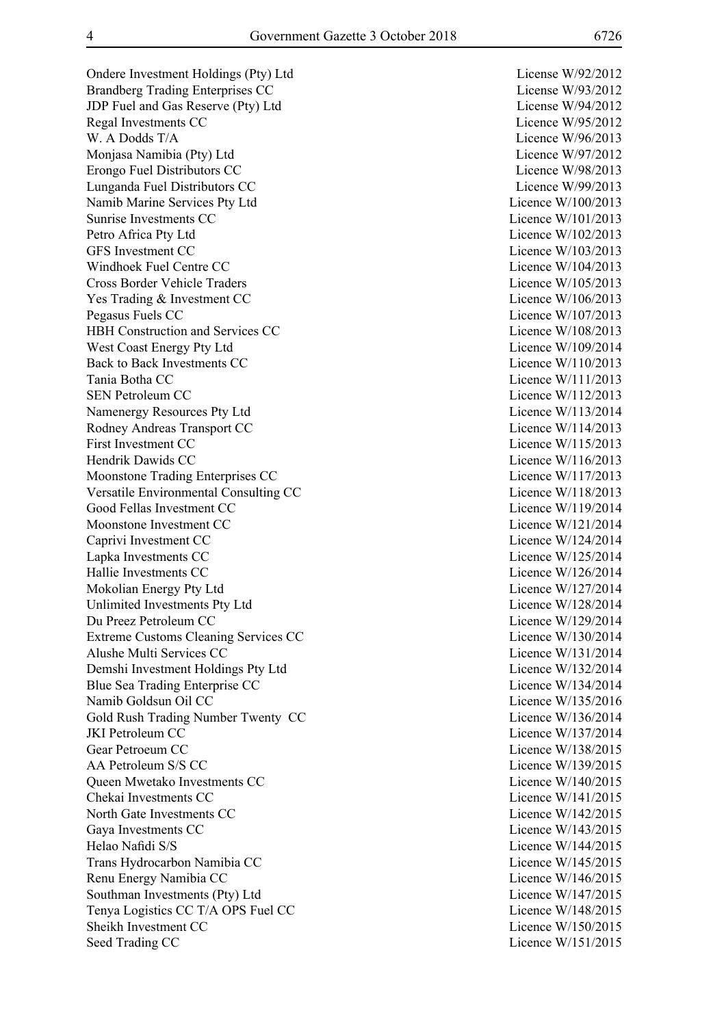Ondere Investment Holdings (Pty) Ltd License W/92/2012 Brandberg Trading Enterprises CC License W/93/2012 JDP Fuel and Gas Reserve (Pty) Ltd License W/94/2012 Regal Investments CC Licence W/95/2012 W. A Dodds T/A Licence W/96/2013 Monjasa Namibia (Pty) Ltd Licence W/97/2012 Erongo Fuel Distributors CC Licence W/98/2013 Lunganda Fuel Distributors CC Licence W/99/2013 Namib Marine Services Pty Ltd Licence W/100/2013 Sunrise Investments CC and the CO and the Countries of the Licence W/101/2013 Petro Africa Pty Ltd Licence W/102/2013 GFS Investment CC Licence W/103/2013 Windhoek Fuel Centre CC and the Communication of the Licence W/104/2013 Cross Border Vehicle Traders Licence W/105/2013 Yes Trading & Investment CC Licence W/106/2013 Pegasus Fuels CC Licence W/107/2013 HBH Construction and Services CC Licence W/108/2013 West Coast Energy Pty Ltd Licence W/109/2014 Back to Back Investments CC Licence W/110/2013 Tania Botha CC Licence W/111/2013 SEN Petroleum CC Licence W/112/2013 Namenergy Resources Pty Ltd Licence W/113/2014 Rodney Andreas Transport CC Licence W/114/2013 First Investment CC Licence W/115/2013 Hendrik Dawids CC and the United States of the United States and Licence W/116/2013 Moonstone Trading Enterprises CC Licence W/117/2013 Versatile Environmental Consulting CC Licence W/118/2013 Good Fellas Investment CC Licence W/119/2014 Moonstone Investment CC and the CO licence W/121/2014 Caprivi Investment CC Licence W/124/2014 Lapka Investments CC Licence W/125/2014 Hallie Investments CC Licence W/126/2014 Mokolian Energy Pty Ltd Licence W/127/2014 Unlimited Investments Pty Ltd Licence W/128/2014 Du Preez Petroleum CC Licence W/129/2014 Extreme Customs Cleaning Services CC Licence W/130/2014 Alushe Multi Services CC and the Contract of the Licence W/131/2014 Demshi Investment Holdings Pty Ltd Licence W/132/2014 Blue Sea Trading Enterprise CC Licence W/134/2014 Namib Goldsun Oil CC and the Contract of the Contract of the Licence W/135/2016 Gold Rush Trading Number Twenty CC Licence W/136/2014 JKI Petroleum CC Licence W/137/2014 Gear Petroeum CC Licence W/138/2015 AA Petroleum S/S CC Licence W/139/2015 Oueen Mwetako Investments CC and the COU Licence W/140/2015 Chekai Investments CC and the contract of the contract of the Licence W/141/2015 North Gate Investments CC Licence W/142/2015 Gaya Investments CC Licence W/143/2015 Helao Nafidi S/S Licence W/144/2015 Trans Hydrocarbon Namibia CC Licence W/145/2015 Renu Energy Namibia CC Licence W/146/2015 Southman Investments (Pty) Ltd Licence W/147/2015 Tenya Logistics CC T/A OPS Fuel CC Licence W/148/2015 Sheikh Investment CC Licence W/150/2015 Seed Trading CC Licence W/151/2015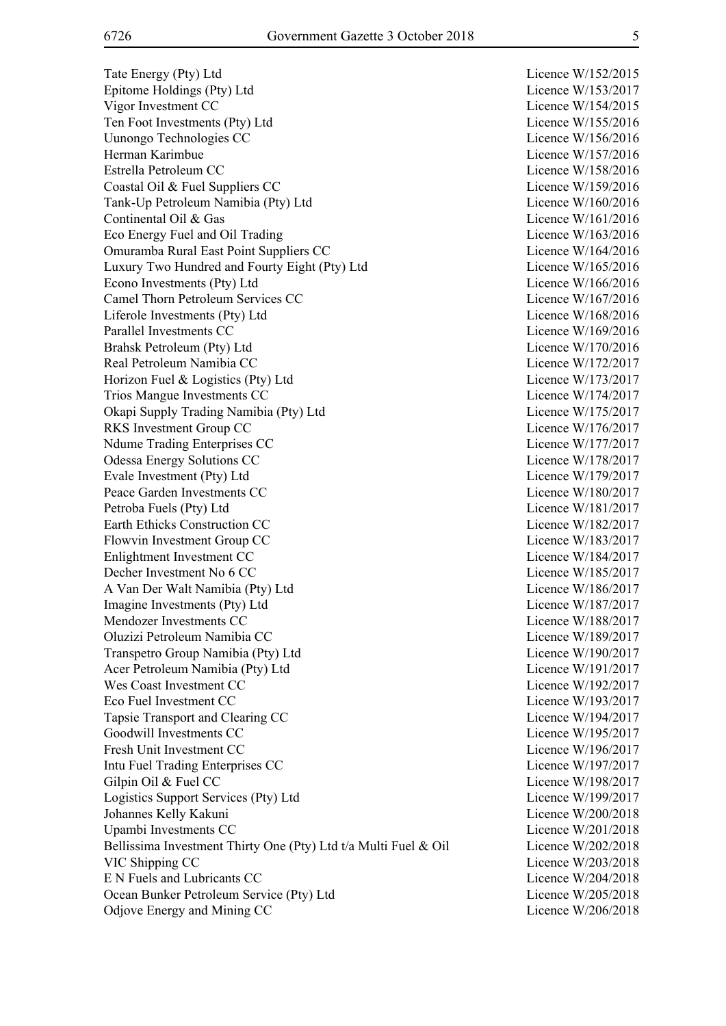Tate Energy (Pty) Ltd Licence W/152/2015 Epitome Holdings (Pty) Ltd Licence W/153/2017 Vigor Investment CC Licence W/154/2015 Ten Foot Investments (Pty) Ltd Licence W/155/2016 Uunongo Technologies CC Licence W/156/2016 Herman Karimbue Licence W/157/2016 Estrella Petroleum CC and the CO and the Licence W/158/2016 Coastal Oil & Fuel Suppliers CC Licence W/159/2016 Tank-Up Petroleum Namibia (Pty) Ltd Licence W/160/2016 Continental Oil & Gas Licence W/161/2016 Eco Energy Fuel and Oil Trading Licence W/163/2016 Omuramba Rural East Point Suppliers CC Licence W/164/2016 Luxury Two Hundred and Fourty Eight (Pty) Ltd Licence W/165/2016 Econo Investments (Pty) Ltd Licence W/166/2016 Camel Thorn Petroleum Services CC Licence W/167/2016 Liferole Investments (Pty) Ltd Licence W/168/2016 Parallel Investments CC and the contract of the contract of the Licence W/169/2016 Brahsk Petroleum (Pty) Ltd Licence W/170/2016 Real Petroleum Namibia CC and the contract of the contract of the Licence W/172/2017 Horizon Fuel & Logistics (Pty) Ltd Licence W/173/2017 Trios Mangue Investments CC and the CO Licence W/174/2017 Okapi Supply Trading Namibia (Pty) Ltd Licence W/175/2017 RKS Investment Group CC Licence W/176/2017 Ndume Trading Enterprises CC and the Contract Contract Contract Contract Contract Contract Contract Contract Contract Contract Contract Contract Contract Contract Contract Contract Contract Contract Contract Contract Contr Odessa Energy Solutions CC Licence W/178/2017 Evale Investment (Pty) Ltd Licence W/179/2017 Peace Garden Investments CC and the contract of the Licence W/180/2017 Petroba Fuels (Pty) Ltd Licence W/181/2017 Earth Ethicks Construction CC Licence W/182/2017 Flowvin Investment Group CC and the Contract Contract Contract Contract Contract Contract Contract Contract Contract Contract Contract Contract Contract Contract Contract Contract Contract Contract Contract Contract Contra Enlightment Investment CC Licence W/184/2017 Decher Investment No 6 CC Licence W/185/2017 A Van Der Walt Namibia (Pty) Ltd Licence W/186/2017 Imagine Investments (Pty) Ltd Licence W/187/2017 Mendozer Investments CC and the CO and the Licence W/188/2017 Oluzizi Petroleum Namibia CC Licence W/189/2017 Transpetro Group Namibia (Pty) Ltd Licence W/190/2017 Acer Petroleum Namibia (Pty) Ltd Licence W/191/2017 Wes Coast Investment CC Licence W/192/2017 Eco Fuel Investment CC and the state of the contract term in the contract of the Licence W/193/2017 Tapsie Transport and Clearing CC and Licence W/194/2017 Goodwill Investments CC Licence W/195/2017 Fresh Unit Investment CC Licence W/196/2017 Intu Fuel Trading Enterprises CC Licence W/197/2017 Gilpin Oil & Fuel CC Licence W/198/2017 Logistics Support Services (Pty) Ltd Licence W/199/2017 Johannes Kelly Kakuni Licence W/200/2018 Upambi Investments CC Licence W/201/2018 Bellissima Investment Thirty One (Pty) Ltd t/a Multi Fuel & Oil Licence W/202/2018 VIC Shipping CC Licence W/203/2018 E N Fuels and Lubricants CC Licence W/204/2018 Ocean Bunker Petroleum Service (Pty) Ltd Licence W/205/2018 Odjove Energy and Mining CC Licence W/206/2018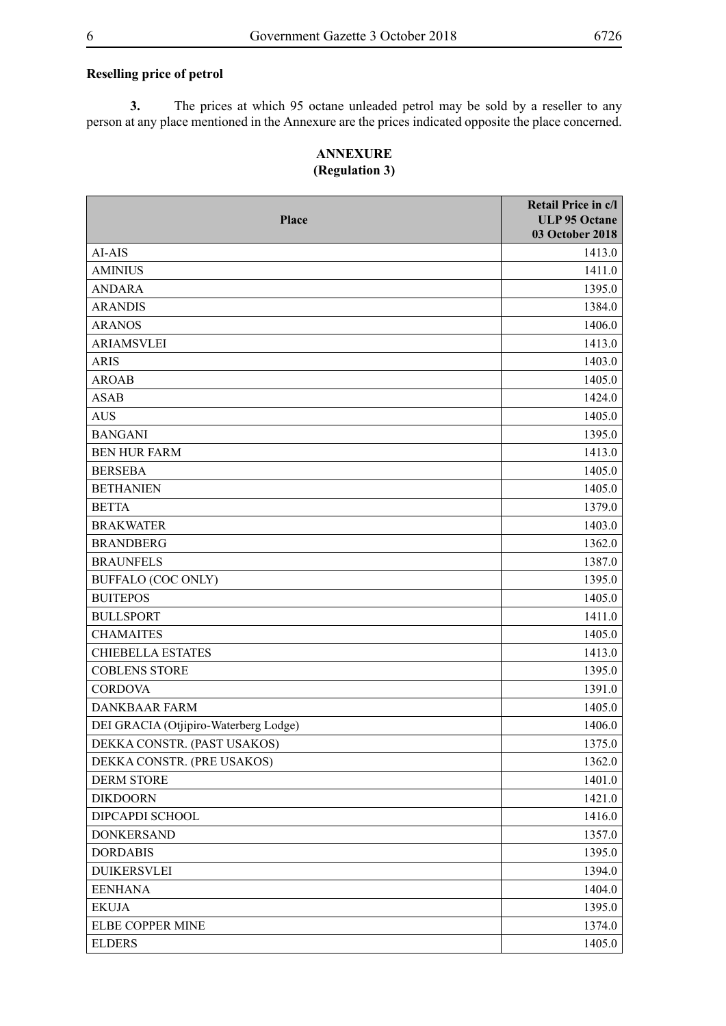#### **Reselling price of petrol**

**3.** The prices at which 95 octane unleaded petrol may be sold by a reseller to any person at any place mentioned in the Annexure are the prices indicated opposite the place concerned.

#### **ANNEXURE (Regulation 3)**

| Place                                 | Retail Price in c/l<br><b>ULP 95 Octane</b><br>03 October 2018 |
|---------------------------------------|----------------------------------------------------------------|
| AI-AIS                                | 1413.0                                                         |
| <b>AMINIUS</b>                        | 1411.0                                                         |
| <b>ANDARA</b>                         | 1395.0                                                         |
| <b>ARANDIS</b>                        | 1384.0                                                         |
| <b>ARANOS</b>                         | 1406.0                                                         |
| <b>ARIAMSVLEI</b>                     | 1413.0                                                         |
| <b>ARIS</b>                           | 1403.0                                                         |
| <b>AROAB</b>                          | 1405.0                                                         |
| <b>ASAB</b>                           | 1424.0                                                         |
| <b>AUS</b>                            | 1405.0                                                         |
| <b>BANGANI</b>                        | 1395.0                                                         |
| <b>BEN HUR FARM</b>                   | 1413.0                                                         |
| <b>BERSEBA</b>                        | 1405.0                                                         |
| <b>BETHANIEN</b>                      | 1405.0                                                         |
| <b>BETTA</b>                          | 1379.0                                                         |
| <b>BRAKWATER</b>                      | 1403.0                                                         |
| <b>BRANDBERG</b>                      | 1362.0                                                         |
| <b>BRAUNFELS</b>                      | 1387.0                                                         |
| <b>BUFFALO (COC ONLY)</b>             | 1395.0                                                         |
| <b>BUITEPOS</b>                       | 1405.0                                                         |
| <b>BULLSPORT</b>                      | 1411.0                                                         |
| <b>CHAMAITES</b>                      | 1405.0                                                         |
| <b>CHIEBELLA ESTATES</b>              | 1413.0                                                         |
| <b>COBLENS STORE</b>                  | 1395.0                                                         |
| <b>CORDOVA</b>                        | 1391.0                                                         |
| <b>DANKBAAR FARM</b>                  | 1405.0                                                         |
| DEI GRACIA (Otjipiro-Waterberg Lodge) | 1406.0                                                         |
| DEKKA CONSTR. (PAST USAKOS)           | 1375.0                                                         |
| DEKKA CONSTR. (PRE USAKOS)            | 1362.0                                                         |
| DERM STORE                            | 1401.0                                                         |
| <b>DIKDOORN</b>                       | 1421.0                                                         |
| DIPCAPDI SCHOOL                       | 1416.0                                                         |
| <b>DONKERSAND</b>                     | 1357.0                                                         |
| <b>DORDABIS</b>                       | 1395.0                                                         |
| <b>DUIKERSVLEI</b>                    | 1394.0                                                         |
| <b>EENHANA</b>                        | 1404.0                                                         |
| <b>EKUJA</b>                          | 1395.0                                                         |
| ELBE COPPER MINE                      | 1374.0                                                         |
| <b>ELDERS</b>                         | 1405.0                                                         |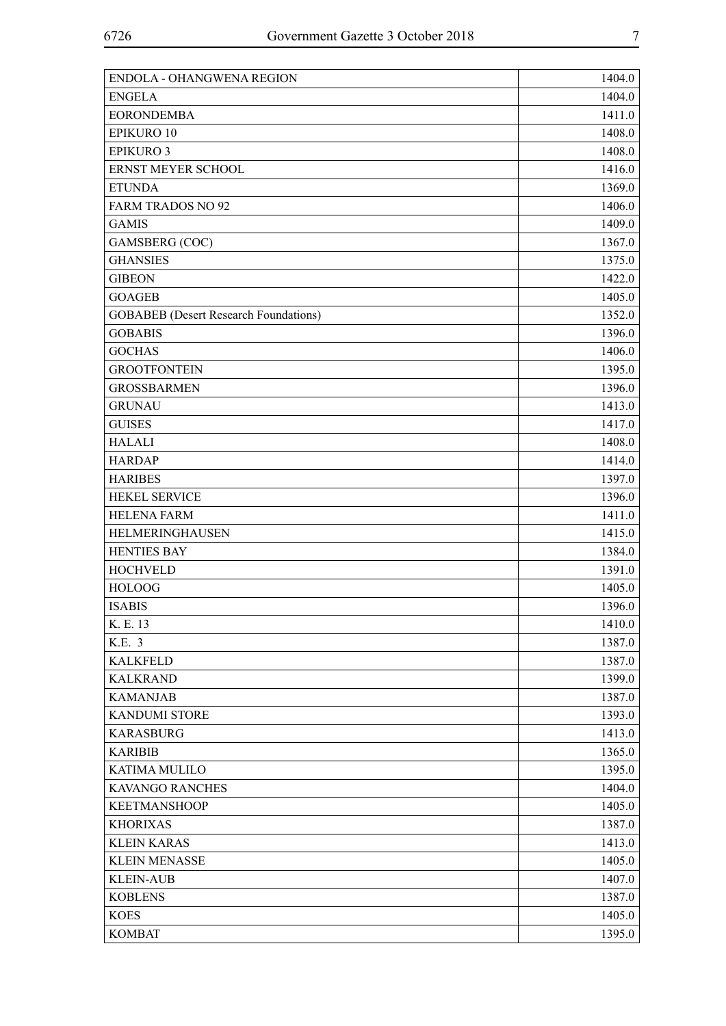| ENDOLA - OHANGWENA REGION                    | 1404.0 |
|----------------------------------------------|--------|
| <b>ENGELA</b>                                | 1404.0 |
| <b>EORONDEMBA</b>                            | 1411.0 |
| EPIKURO 10                                   | 1408.0 |
| <b>EPIKURO 3</b>                             | 1408.0 |
| ERNST MEYER SCHOOL                           | 1416.0 |
| <b>ETUNDA</b>                                | 1369.0 |
| <b>FARM TRADOS NO 92</b>                     | 1406.0 |
| <b>GAMIS</b>                                 | 1409.0 |
| GAMSBERG (COC)                               | 1367.0 |
| <b>GHANSIES</b>                              | 1375.0 |
| <b>GIBEON</b>                                | 1422.0 |
| <b>GOAGEB</b>                                | 1405.0 |
| <b>GOBABEB</b> (Desert Research Foundations) | 1352.0 |
| <b>GOBABIS</b>                               | 1396.0 |
| <b>GOCHAS</b>                                | 1406.0 |
| <b>GROOTFONTEIN</b>                          | 1395.0 |
| <b>GROSSBARMEN</b>                           | 1396.0 |
| <b>GRUNAU</b>                                | 1413.0 |
| <b>GUISES</b>                                | 1417.0 |
| <b>HALALI</b>                                | 1408.0 |
| <b>HARDAP</b>                                | 1414.0 |
| <b>HARIBES</b>                               | 1397.0 |
| <b>HEKEL SERVICE</b>                         | 1396.0 |
| <b>HELENA FARM</b>                           | 1411.0 |
| HELMERINGHAUSEN                              | 1415.0 |
| <b>HENTIES BAY</b>                           | 1384.0 |
| <b>HOCHVELD</b>                              | 1391.0 |
| <b>HOLOOG</b>                                | 1405.0 |
| <b>ISABIS</b>                                | 1396.0 |
| K. E. 13                                     | 1410.0 |
| K.E. 3                                       | 1387.0 |
| <b>KALKFELD</b>                              | 1387.0 |
| <b>KALKRAND</b>                              | 1399.0 |
| <b>KAMANJAB</b>                              | 1387.0 |
| <b>KANDUMI STORE</b>                         | 1393.0 |
| <b>KARASBURG</b>                             | 1413.0 |
| <b>KARIBIB</b>                               | 1365.0 |
| <b>KATIMA MULILO</b>                         | 1395.0 |
| KAVANGO RANCHES                              | 1404.0 |
| <b>KEETMANSHOOP</b>                          | 1405.0 |
| <b>KHORIXAS</b>                              | 1387.0 |
| <b>KLEIN KARAS</b>                           | 1413.0 |
| <b>KLEIN MENASSE</b>                         | 1405.0 |
| <b>KLEIN-AUB</b>                             | 1407.0 |
| <b>KOBLENS</b>                               | 1387.0 |
| <b>KOES</b>                                  | 1405.0 |
| <b>KOMBAT</b>                                | 1395.0 |
|                                              |        |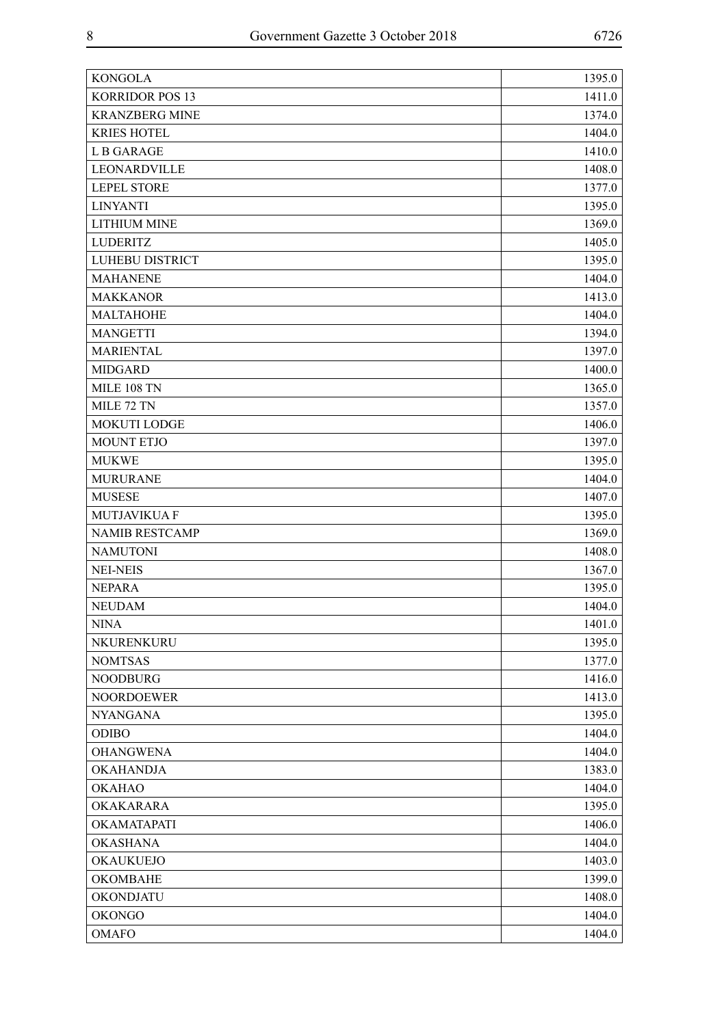| <b>KONGOLA</b>         | 1395.0 |
|------------------------|--------|
| <b>KORRIDOR POS 13</b> | 1411.0 |
| <b>KRANZBERG MINE</b>  | 1374.0 |
| <b>KRIES HOTEL</b>     | 1404.0 |
| <b>LB GARAGE</b>       | 1410.0 |
| LEONARDVILLE           | 1408.0 |
| <b>LEPEL STORE</b>     | 1377.0 |
| <b>LINYANTI</b>        | 1395.0 |
| <b>LITHIUM MINE</b>    | 1369.0 |
| <b>LUDERITZ</b>        | 1405.0 |
| LUHEBU DISTRICT        | 1395.0 |
| <b>MAHANENE</b>        | 1404.0 |
| <b>MAKKANOR</b>        | 1413.0 |
| <b>MALTAHOHE</b>       | 1404.0 |
| <b>MANGETTI</b>        | 1394.0 |
| <b>MARIENTAL</b>       | 1397.0 |
| <b>MIDGARD</b>         | 1400.0 |
| <b>MILE 108 TN</b>     | 1365.0 |
| MILE 72 TN             | 1357.0 |
| MOKUTI LODGE           | 1406.0 |
| <b>MOUNT ETJO</b>      | 1397.0 |
| <b>MUKWE</b>           | 1395.0 |
| <b>MURURANE</b>        | 1404.0 |
| <b>MUSESE</b>          | 1407.0 |
| <b>MUTJAVIKUA F</b>    | 1395.0 |
| <b>NAMIB RESTCAMP</b>  | 1369.0 |
| <b>NAMUTONI</b>        | 1408.0 |
| <b>NEI-NEIS</b>        | 1367.0 |
| <b>NEPARA</b>          | 1395.0 |
| <b>NEUDAM</b>          | 1404.0 |
| <b>NINA</b>            | 1401.0 |
| NKURENKURU             | 1395.0 |
| <b>NOMTSAS</b>         | 1377.0 |
| <b>NOODBURG</b>        | 1416.0 |
| <b>NOORDOEWER</b>      | 1413.0 |
| <b>NYANGANA</b>        | 1395.0 |
| <b>ODIBO</b>           | 1404.0 |
| <b>OHANGWENA</b>       | 1404.0 |
| <b>OKAHANDJA</b>       | 1383.0 |
| <b>OKAHAO</b>          | 1404.0 |
| OKAKARARA              | 1395.0 |
| OKAMATAPATI            | 1406.0 |
| <b>OKASHANA</b>        | 1404.0 |
| OKAUKUEJO              | 1403.0 |
| <b>OKOMBAHE</b>        | 1399.0 |
| OKONDJATU              | 1408.0 |
| <b>OKONGO</b>          | 1404.0 |
| <b>OMAFO</b>           | 1404.0 |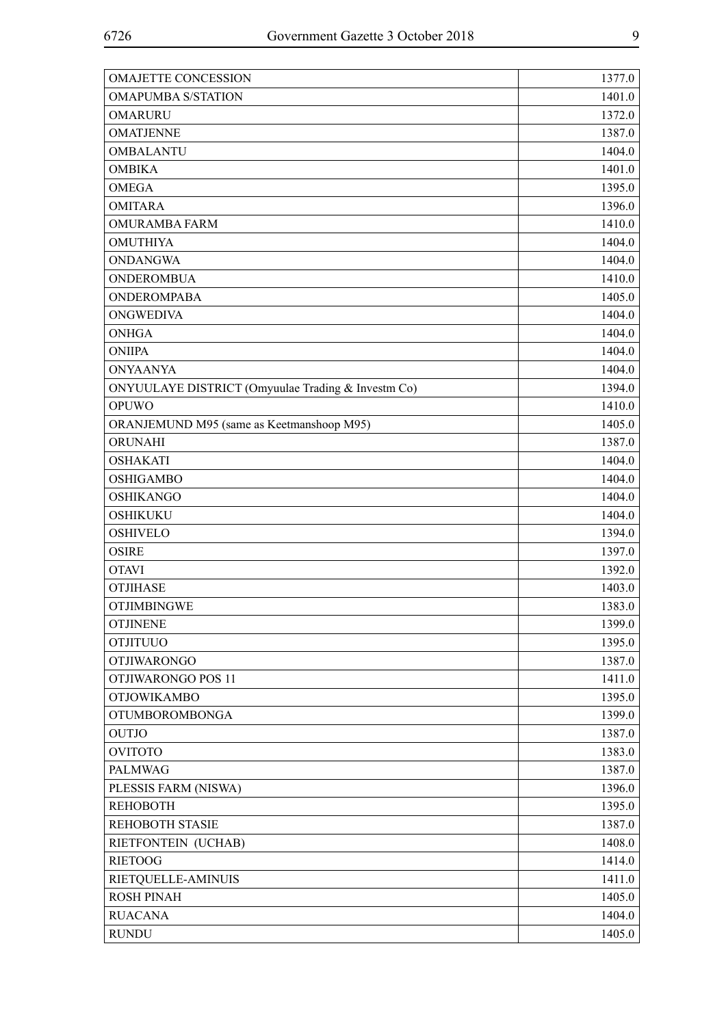| <b>OMAJETTE CONCESSION</b>                         | 1377.0 |
|----------------------------------------------------|--------|
| <b>OMAPUMBA S/STATION</b>                          | 1401.0 |
| <b>OMARURU</b>                                     | 1372.0 |
| <b>OMATJENNE</b>                                   | 1387.0 |
| <b>OMBALANTU</b>                                   | 1404.0 |
| <b>OMBIKA</b>                                      | 1401.0 |
| <b>OMEGA</b>                                       | 1395.0 |
| <b>OMITARA</b>                                     | 1396.0 |
| <b>OMURAMBA FARM</b>                               | 1410.0 |
| <b>OMUTHIYA</b>                                    | 1404.0 |
| <b>ONDANGWA</b>                                    | 1404.0 |
| <b>ONDEROMBUA</b>                                  | 1410.0 |
| <b>ONDEROMPABA</b>                                 | 1405.0 |
| <b>ONGWEDIVA</b>                                   | 1404.0 |
| <b>ONHGA</b>                                       | 1404.0 |
| <b>ONIIPA</b>                                      | 1404.0 |
| <b>ONYAANYA</b>                                    | 1404.0 |
| ONYUULAYE DISTRICT (Omyuulae Trading & Investm Co) | 1394.0 |
| <b>OPUWO</b>                                       | 1410.0 |
| ORANJEMUND M95 (same as Keetmanshoop M95)          | 1405.0 |
| ORUNAHI                                            | 1387.0 |
| <b>OSHAKATI</b>                                    | 1404.0 |
| <b>OSHIGAMBO</b>                                   | 1404.0 |
| <b>OSHIKANGO</b>                                   | 1404.0 |
| <b>OSHIKUKU</b>                                    | 1404.0 |
| <b>OSHIVELO</b>                                    | 1394.0 |
| <b>OSIRE</b>                                       | 1397.0 |
| <b>OTAVI</b>                                       | 1392.0 |
| <b>OTJIHASE</b>                                    | 1403.0 |
| <b>OTJIMBINGWE</b>                                 | 1383.0 |
| <b>OTJINENE</b>                                    | 1399.0 |
| <b>OTJITUUO</b>                                    | 1395.0 |
| <b>OTJIWARONGO</b>                                 | 1387.0 |
| OTJIWARONGO POS 11                                 | 1411.0 |
| <b>OTJOWIKAMBO</b>                                 | 1395.0 |
| <b>OTUMBOROMBONGA</b>                              | 1399.0 |
| <b>OUTJO</b>                                       | 1387.0 |
| <b>OVITOTO</b>                                     | 1383.0 |
| <b>PALMWAG</b>                                     | 1387.0 |
| PLESSIS FARM (NISWA)                               | 1396.0 |
| <b>REHOBOTH</b>                                    | 1395.0 |
| REHOBOTH STASIE                                    | 1387.0 |
| RIETFONTEIN (UCHAB)                                | 1408.0 |
| <b>RIETOOG</b>                                     | 1414.0 |
| RIETQUELLE-AMINUIS                                 | 1411.0 |
| <b>ROSH PINAH</b>                                  | 1405.0 |
| <b>RUACANA</b>                                     | 1404.0 |
| <b>RUNDU</b>                                       | 1405.0 |